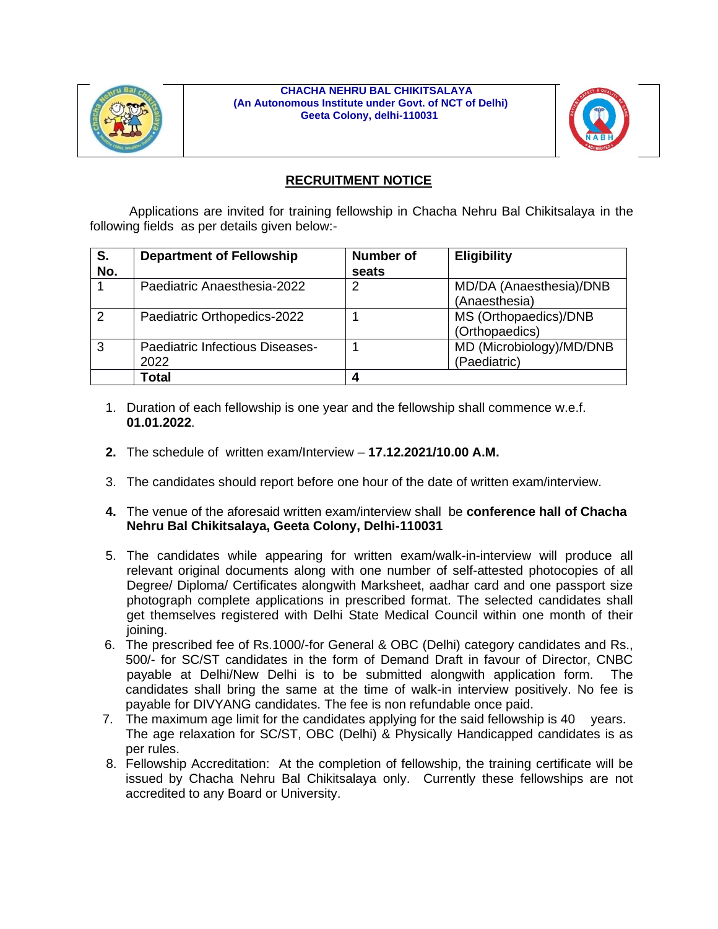

#### **CHACHA NEHRU BAL CHIKITSALAYA (An Autonomous Institute under Govt. of NCT of Delhi) Geeta Colony, delhi-110031**



# **RECRUITMENT NOTICE**

 Applications are invited for training fellowship in Chacha Nehru Bal Chikitsalaya in the following fields as per details given below:-

| S.<br>No.     | <b>Department of Fellowship</b>         | <b>Number of</b><br>seats | <b>Eligibility</b>                       |
|---------------|-----------------------------------------|---------------------------|------------------------------------------|
|               | Paediatric Anaesthesia-2022             | 2                         | MD/DA (Anaesthesia)/DNB<br>(Anaesthesia) |
| $\mathcal{P}$ | Paediatric Orthopedics-2022             |                           | MS (Orthopaedics)/DNB<br>(Orthopaedics)  |
| 3             | Paediatric Infectious Diseases-<br>2022 |                           | MD (Microbiology)/MD/DNB<br>(Paediatric) |
|               | <b>Total</b>                            | Δ                         |                                          |

- 1. Duration of each fellowship is one year and the fellowship shall commence w.e.f. **01.01.2022**.
- **2.** The schedule of written exam/Interview **17.12.2021/10.00 A.M.**
- 3. The candidates should report before one hour of the date of written exam/interview.
- **4.** The venue of the aforesaid written exam/interview shall be **conference hall of Chacha Nehru Bal Chikitsalaya, Geeta Colony, Delhi-110031**
- 5. The candidates while appearing for written exam/walk-in-interview will produce all relevant original documents along with one number of self-attested photocopies of all Degree/ Diploma/ Certificates alongwith Marksheet, aadhar card and one passport size photograph complete applications in prescribed format. The selected candidates shall get themselves registered with Delhi State Medical Council within one month of their joining.
- 6. The prescribed fee of Rs.1000/-for General & OBC (Delhi) category candidates and Rs., 500/- for SC/ST candidates in the form of Demand Draft in favour of Director, CNBC payable at Delhi/New Delhi is to be submitted alongwith application form. The candidates shall bring the same at the time of walk-in interview positively. No fee is payable for DIVYANG candidates. The fee is non refundable once paid.
- 7. The maximum age limit for the candidates applying for the said fellowship is 40 years. The age relaxation for SC/ST, OBC (Delhi) & Physically Handicapped candidates is as per rules.
- 8. Fellowship Accreditation: At the completion of fellowship, the training certificate will be issued by Chacha Nehru Bal Chikitsalaya only. Currently these fellowships are not accredited to any Board or University.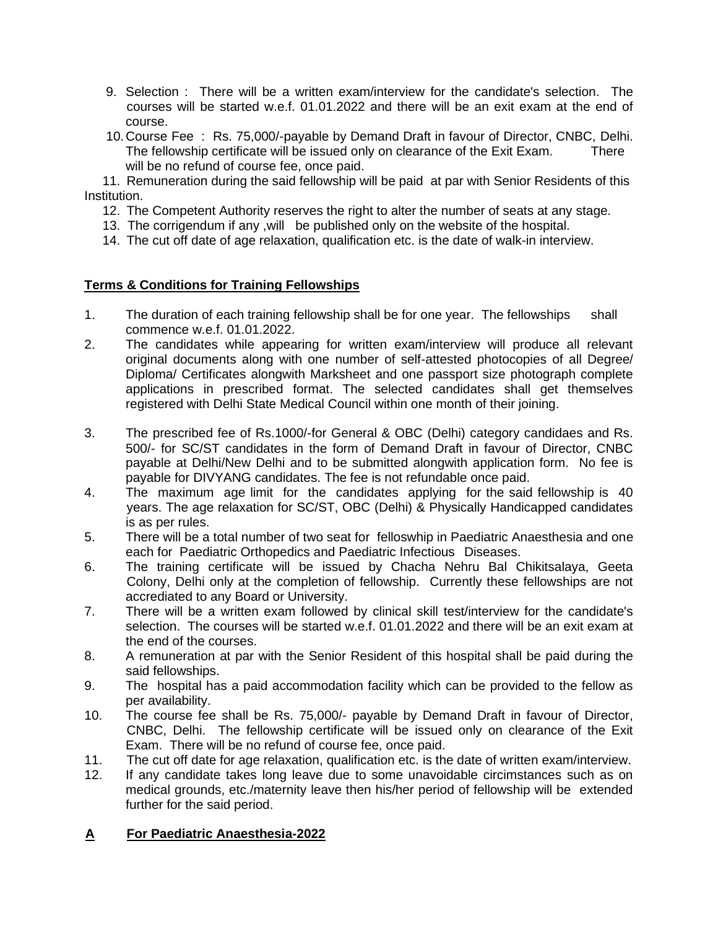- 9. Selection : There will be a written exam/interview for the candidate's selection. The courses will be started w.e.f. 01.01.2022 and there will be an exit exam at the end of course.
- 10. Course Fee : Rs. 75,000/-payable by Demand Draft in favour of Director, CNBC, Delhi. The fellowship certificate will be issued only on clearance of the Exit Exam. There will be no refund of course fee, once paid.

 11. Remuneration during the said fellowship will be paid at par with Senior Residents of this Institution.

- 12. The Competent Authority reserves the right to alter the number of seats at any stage.
- 13. The corrigendum if any ,will be published only on the website of the hospital.
- 14. The cut off date of age relaxation, qualification etc. is the date of walk-in interview.

# **Terms & Conditions for Training Fellowships**

- 1. The duration of each training fellowship shall be for one year. The fellowships shall commence w.e.f. 01.01.2022.
- 2. The candidates while appearing for written exam/interview will produce all relevant original documents along with one number of self-attested photocopies of all Degree/ Diploma/ Certificates alongwith Marksheet and one passport size photograph complete applications in prescribed format. The selected candidates shall get themselves registered with Delhi State Medical Council within one month of their joining.
- 3. The prescribed fee of Rs.1000/-for General & OBC (Delhi) category candidaes and Rs. 500/- for SC/ST candidates in the form of Demand Draft in favour of Director, CNBC payable at Delhi/New Delhi and to be submitted alongwith application form. No fee is payable for DIVYANG candidates. The fee is not refundable once paid.
- 4. The maximum age limit for the candidates applying for the said fellowship is 40 years. The age relaxation for SC/ST, OBC (Delhi) & Physically Handicapped candidates is as per rules.
- 5. There will be a total number of two seat for felloswhip in Paediatric Anaesthesia and one each for Paediatric Orthopedics and Paediatric Infectious Diseases.
- 6. The training certificate will be issued by Chacha Nehru Bal Chikitsalaya, Geeta Colony, Delhi only at the completion of fellowship. Currently these fellowships are not accrediated to any Board or University.
- 7. There will be a written exam followed by clinical skill test/interview for the candidate's selection. The courses will be started w.e.f. 01.01.2022 and there will be an exit exam at the end of the courses.
- 8. A remuneration at par with the Senior Resident of this hospital shall be paid during the said fellowships.
- 9. The hospital has a paid accommodation facility which can be provided to the fellow as per availability.
- 10. The course fee shall be Rs. 75,000/- payable by Demand Draft in favour of Director, CNBC, Delhi. The fellowship certificate will be issued only on clearance of the Exit Exam. There will be no refund of course fee, once paid.
- 11. The cut off date for age relaxation, qualification etc. is the date of written exam/interview.
- 12. If any candidate takes long leave due to some unavoidable circimstances such as on medical grounds, etc./maternity leave then his/her period of fellowship will be extended further for the said period.

#### **A For Paediatric Anaesthesia-2022**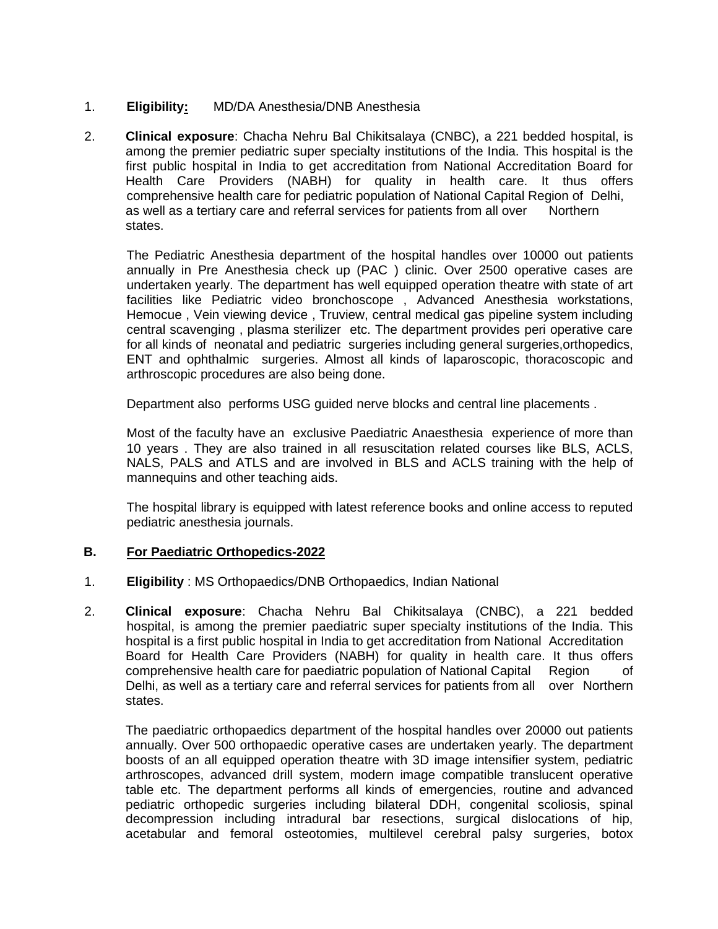# 1. **Eligibility:** MD/DA Anesthesia/DNB Anesthesia

2. **Clinical exposure**: Chacha Nehru Bal Chikitsalaya (CNBC), a 221 bedded hospital, is among the premier pediatric super specialty institutions of the India. This hospital is the first public hospital in India to get accreditation from National Accreditation Board for Health Care Providers (NABH) for quality in health care. It thus offers comprehensive health care for pediatric population of National Capital Region of Delhi, as well as a tertiary care and referral services for patients from all over Northern states.

The Pediatric Anesthesia department of the hospital handles over 10000 out patients annually in Pre Anesthesia check up (PAC ) clinic. Over 2500 operative cases are undertaken yearly. The department has well equipped operation theatre with state of art facilities like Pediatric video bronchoscope , Advanced Anesthesia workstations, Hemocue , Vein viewing device , Truview, central medical gas pipeline system including central scavenging , plasma sterilizer etc. The department provides peri operative care for all kinds of neonatal and pediatric surgeries including general surgeries,orthopedics, ENT and ophthalmic surgeries. Almost all kinds of laparoscopic, thoracoscopic and arthroscopic procedures are also being done.

Department also performs USG guided nerve blocks and central line placements .

Most of the faculty have an exclusive Paediatric Anaesthesia experience of more than 10 years . They are also trained in all resuscitation related courses like BLS, ACLS, NALS, PALS and ATLS and are involved in BLS and ACLS training with the help of mannequins and other teaching aids.

The hospital library is equipped with latest reference books and online access to reputed pediatric anesthesia journals.

#### **B. For Paediatric Orthopedics-2022**

- 1. **Eligibility** : MS Orthopaedics/DNB Orthopaedics, Indian National
- 2. **Clinical exposure**: Chacha Nehru Bal Chikitsalaya (CNBC), a 221 bedded hospital, is among the premier paediatric super specialty institutions of the India. This hospital is a first public hospital in India to get accreditation from National Accreditation Board for Health Care Providers (NABH) for quality in health care. It thus offers comprehensive health care for paediatric population of National Capital Region of Delhi, as well as a tertiary care and referral services for patients from all over Northern states.

The paediatric orthopaedics department of the hospital handles over 20000 out patients annually. Over 500 orthopaedic operative cases are undertaken yearly. The department boosts of an all equipped operation theatre with 3D image intensifier system, pediatric arthroscopes, advanced drill system, modern image compatible translucent operative table etc. The department performs all kinds of emergencies, routine and advanced pediatric orthopedic surgeries including bilateral DDH, congenital scoliosis, spinal decompression including intradural bar resections, surgical dislocations of hip, acetabular and femoral osteotomies, multilevel cerebral palsy surgeries, botox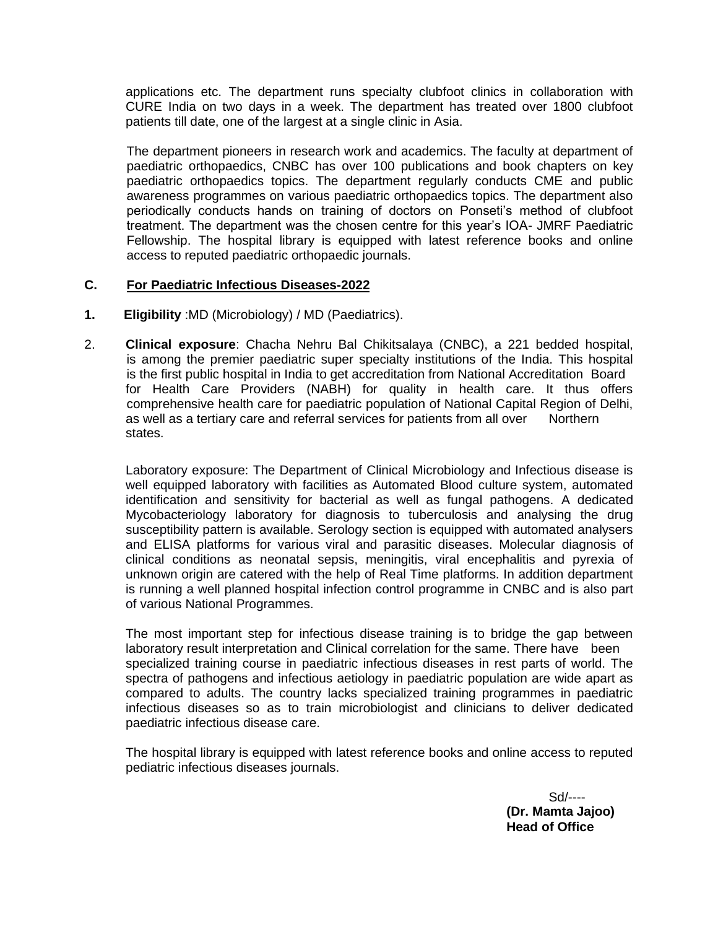applications etc. The department runs specialty clubfoot clinics in collaboration with CURE India on two days in a week. The department has treated over 1800 clubfoot patients till date, one of the largest at a single clinic in Asia.

The department pioneers in research work and academics. The faculty at department of paediatric orthopaedics, CNBC has over 100 publications and book chapters on key paediatric orthopaedics topics. The department regularly conducts CME and public awareness programmes on various paediatric orthopaedics topics. The department also periodically conducts hands on training of doctors on Ponseti's method of clubfoot treatment. The department was the chosen centre for this year's IOA- JMRF Paediatric Fellowship. The hospital library is equipped with latest reference books and online access to reputed paediatric orthopaedic journals.

#### **C. For Paediatric Infectious Diseases-2022**

- **1. Eligibility** :MD (Microbiology) / MD (Paediatrics).
- 2. **Clinical exposure**: Chacha Nehru Bal Chikitsalaya (CNBC), a 221 bedded hospital, is among the premier paediatric super specialty institutions of the India. This hospital is the first public hospital in India to get accreditation from National Accreditation Board for Health Care Providers (NABH) for quality in health care. It thus offers comprehensive health care for paediatric population of National Capital Region of Delhi, as well as a tertiary care and referral services for patients from all over Northern states.

Laboratory exposure: The Department of Clinical Microbiology and Infectious disease is well equipped laboratory with facilities as Automated Blood culture system, automated identification and sensitivity for bacterial as well as fungal pathogens. A dedicated Mycobacteriology laboratory for diagnosis to tuberculosis and analysing the drug susceptibility pattern is available. Serology section is equipped with automated analysers and ELISA platforms for various viral and parasitic diseases. Molecular diagnosis of clinical conditions as neonatal sepsis, meningitis, viral encephalitis and pyrexia of unknown origin are catered with the help of Real Time platforms. In addition department is running a well planned hospital infection control programme in CNBC and is also part of various National Programmes.

The most important step for infectious disease training is to bridge the gap between laboratory result interpretation and Clinical correlation for the same. There have been specialized training course in paediatric infectious diseases in rest parts of world. The spectra of pathogens and infectious aetiology in paediatric population are wide apart as compared to adults. The country lacks specialized training programmes in paediatric infectious diseases so as to train microbiologist and clinicians to deliver dedicated paediatric infectious disease care.

The hospital library is equipped with latest reference books and online access to reputed pediatric infectious diseases journals.

> Sd/---- **(Dr. Mamta Jajoo) Head of Office**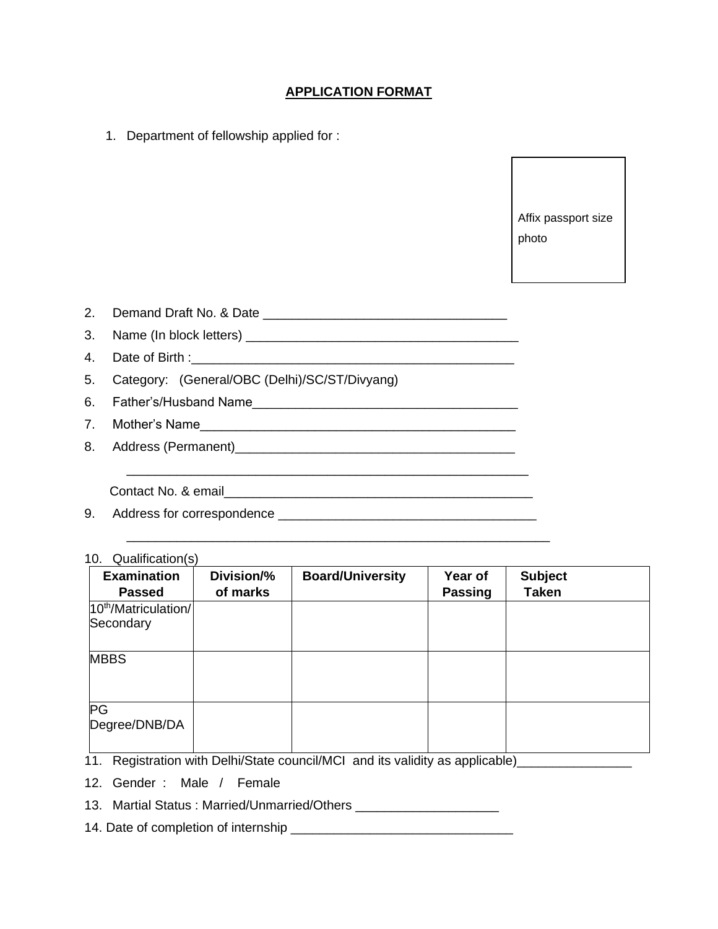# **APPLICATION FORMAT**

1. Department of fellowship applied for :

Affix passport size photo

| $\sim$ | Demand Draft No. & Date |  |
|--------|-------------------------|--|
|        |                         |  |
|        |                         |  |

- 3. Name (In block letters) \_\_\_\_\_\_\_\_\_\_\_\_\_\_\_\_\_\_\_\_\_\_\_\_\_\_\_\_\_\_\_\_\_\_\_\_\_\_
- 4. Date of Birth :

5. Category: (General/OBC (Delhi)/SC/ST/Divyang)

- 6. Father's/Husband Name\_\_\_\_\_\_\_\_\_\_\_\_\_\_\_\_\_\_\_\_\_\_\_\_\_\_\_\_\_\_\_\_\_\_\_\_\_
- 7. Mother's Name\_\_\_\_\_\_\_\_\_\_\_\_\_\_\_\_\_\_\_\_\_\_\_\_\_\_\_\_\_\_\_\_\_\_\_\_\_\_\_\_\_\_\_\_
- 8. Address (Permanent)\_\_\_\_\_\_\_\_\_\_\_\_\_\_\_\_\_\_\_\_\_\_\_\_\_\_\_\_\_\_\_\_\_\_\_\_\_\_\_

Contact No. & email

- 9. Address for correspondence \_\_\_\_\_\_\_\_\_\_\_\_\_\_\_\_\_\_\_\_\_\_\_\_\_\_\_\_\_\_\_\_\_\_\_\_
- 10. Qualification(s)

| <b>Examination</b><br><b>Passed</b>           | Division/%<br>of marks | <b>Board/University</b> | Year of<br><b>Passing</b> | <b>Subject</b><br><b>Taken</b> |
|-----------------------------------------------|------------------------|-------------------------|---------------------------|--------------------------------|
| 10 <sup>th</sup> /Matriculation/<br>Secondary |                        |                         |                           |                                |
| <b>MBBS</b>                                   |                        |                         |                           |                                |
| PG<br>Degree/DNB/DA<br>$\overline{1}$         |                        |                         |                           |                                |

\_\_\_\_\_\_\_\_\_\_\_\_\_\_\_\_\_\_\_\_\_\_\_\_\_\_\_\_\_\_\_\_\_\_\_\_\_\_\_\_\_\_\_\_\_\_\_\_\_\_\_\_\_\_\_\_

\_\_\_\_\_\_\_\_\_\_\_\_\_\_\_\_\_\_\_\_\_\_\_\_\_\_\_\_\_\_\_\_\_\_\_\_\_\_\_\_\_\_\_\_\_\_\_\_\_\_\_\_\_\_\_\_\_\_\_

11. Registration with Delhi/State council/MCI and its validity as applicable)\_\_\_\_\_\_\_\_\_\_\_\_\_\_\_\_\_

12. Gender : Male / Female

- 13. Martial Status : Married/Unmarried/Others \_\_\_\_\_\_\_\_\_\_\_\_\_\_\_\_\_\_\_\_
- 14. Date of completion of internship \_\_\_\_\_\_\_\_\_\_\_\_\_\_\_\_\_\_\_\_\_\_\_\_\_\_\_\_\_\_\_